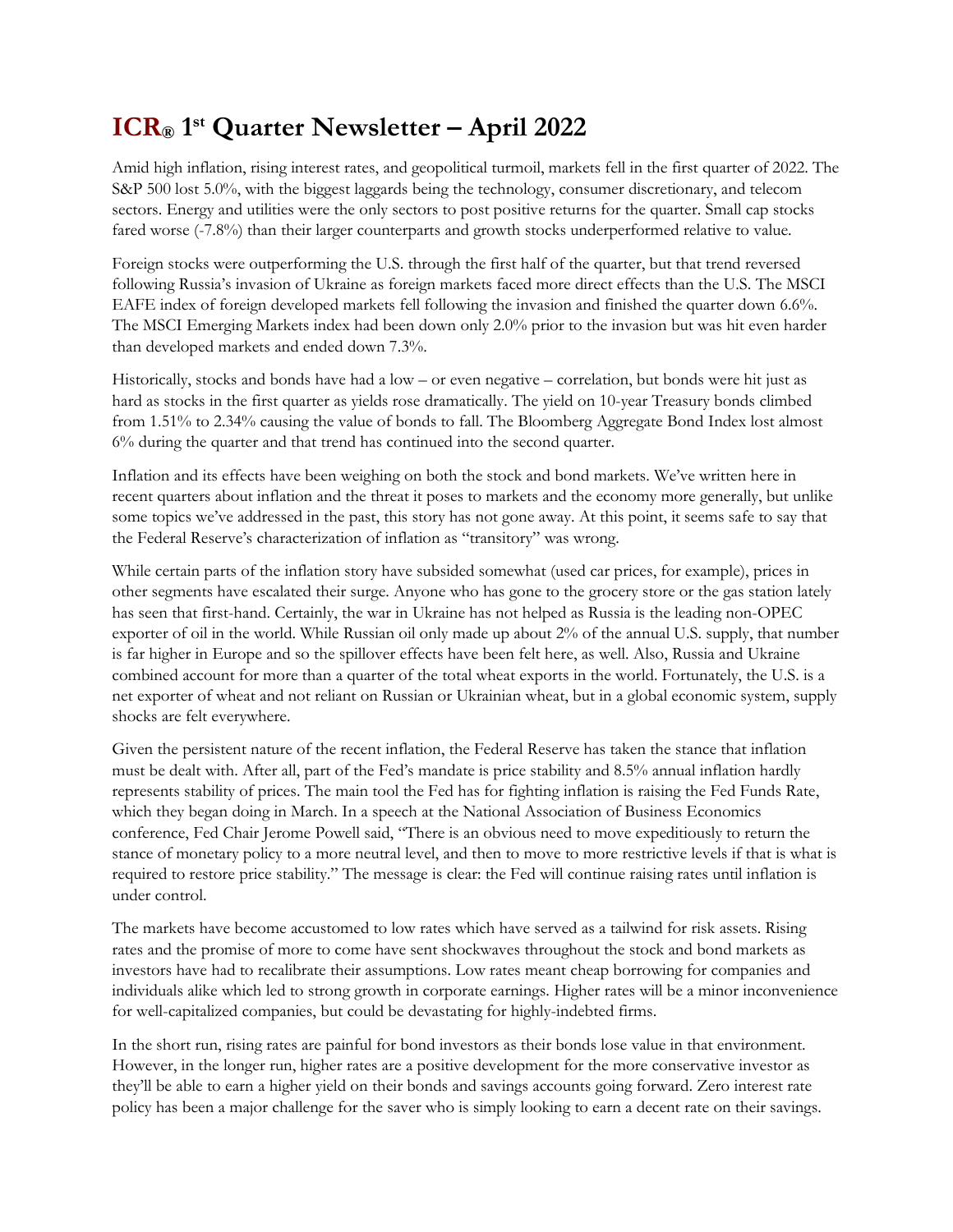## **ICR® 1 st Quarter Newsletter – April 2022**

Amid high inflation, rising interest rates, and geopolitical turmoil, markets fell in the first quarter of 2022. The S&P 500 lost 5.0%, with the biggest laggards being the technology, consumer discretionary, and telecom sectors. Energy and utilities were the only sectors to post positive returns for the quarter. Small cap stocks fared worse (-7.8%) than their larger counterparts and growth stocks underperformed relative to value.

Foreign stocks were outperforming the U.S. through the first half of the quarter, but that trend reversed following Russia's invasion of Ukraine as foreign markets faced more direct effects than the U.S. The MSCI EAFE index of foreign developed markets fell following the invasion and finished the quarter down 6.6%. The MSCI Emerging Markets index had been down only 2.0% prior to the invasion but was hit even harder than developed markets and ended down 7.3%.

Historically, stocks and bonds have had a low – or even negative – correlation, but bonds were hit just as hard as stocks in the first quarter as yields rose dramatically. The yield on 10-year Treasury bonds climbed from 1.51% to 2.34% causing the value of bonds to fall. The Bloomberg Aggregate Bond Index lost almost 6% during the quarter and that trend has continued into the second quarter.

Inflation and its effects have been weighing on both the stock and bond markets. We've written here in recent quarters about inflation and the threat it poses to markets and the economy more generally, but unlike some topics we've addressed in the past, this story has not gone away. At this point, it seems safe to say that the Federal Reserve's characterization of inflation as "transitory" was wrong.

While certain parts of the inflation story have subsided somewhat (used car prices, for example), prices in other segments have escalated their surge. Anyone who has gone to the grocery store or the gas station lately has seen that first-hand. Certainly, the war in Ukraine has not helped as Russia is the leading non-OPEC exporter of oil in the world. While Russian oil only made up about 2% of the annual U.S. supply, that number is far higher in Europe and so the spillover effects have been felt here, as well. Also, Russia and Ukraine combined account for more than a quarter of the total wheat exports in the world. Fortunately, the U.S. is a net exporter of wheat and not reliant on Russian or Ukrainian wheat, but in a global economic system, supply shocks are felt everywhere.

Given the persistent nature of the recent inflation, the Federal Reserve has taken the stance that inflation must be dealt with. After all, part of the Fed's mandate is price stability and 8.5% annual inflation hardly represents stability of prices. The main tool the Fed has for fighting inflation is raising the Fed Funds Rate, which they began doing in March. In a speech at the National Association of Business Economics conference, Fed Chair Jerome Powell said, "There is an obvious need to move expeditiously to return the stance of monetary policy to a more neutral level, and then to move to more restrictive levels if that is what is required to restore price stability." The message is clear: the Fed will continue raising rates until inflation is under control.

The markets have become accustomed to low rates which have served as a tailwind for risk assets. Rising rates and the promise of more to come have sent shockwaves throughout the stock and bond markets as investors have had to recalibrate their assumptions. Low rates meant cheap borrowing for companies and individuals alike which led to strong growth in corporate earnings. Higher rates will be a minor inconvenience for well-capitalized companies, but could be devastating for highly-indebted firms.

In the short run, rising rates are painful for bond investors as their bonds lose value in that environment. However, in the longer run, higher rates are a positive development for the more conservative investor as they'll be able to earn a higher yield on their bonds and savings accounts going forward. Zero interest rate policy has been a major challenge for the saver who is simply looking to earn a decent rate on their savings.